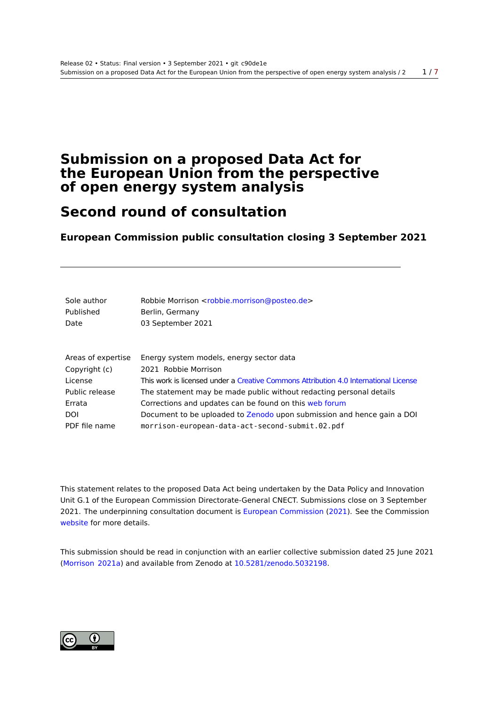## <span id="page-0-0"></span>**Submission on a proposed Data Act for the European Union from the perspective of open energy system analysis**

# **Second round of consultation**

**European Commission public consultation closing 3 September 2021**

| Sole author<br>Published<br>Date | Robbie Morrison <robbie.morrison@posteo.de><br/>Berlin, Germany<br/>03 September 2021</robbie.morrison@posteo.de> |
|----------------------------------|-------------------------------------------------------------------------------------------------------------------|
| Areas of expertise               | Energy system models, energy sector data                                                                          |
| Copyright (c)                    | 2021 Robbie Morrison                                                                                              |
| License                          | This work is licensed under a Creative Commons Attribution 4.0 International License                              |
| Public release                   | The statement may be made public without redacting personal details                                               |
| Errata                           | Corrections and updates can be found on this web forum                                                            |
| <b>DOI</b>                       | Document to be uploaded to Zenodo upon submission and hence gain a DOI                                            |
| PDF file name                    | morrison-european-data-act-second-submit.02.pdf                                                                   |

This statement relates to the proposed Data Act being undertaken by the Data Policy and Innovation Unit G.1 of the European Commission Directorate-General CNECT. Submissions close on 3 September 2021. The underpinning consultation document is European Commission (2021). See the Commission website for more details.

This submission should be read in conjunction wit[h an earlier collective s](#page-5-0)u[bmiss](#page-5-0)ion dated 25 June 2021 [\(Morriso](https://ec.europa.eu/info/law/better-regulation/have-your-say/initiatives/13045-Data-Act-&-amended-rules-on-the-legal-protection-of-databases_en)n 2021a) and available from Zenodo at 10.5281/zenodo.5032198.

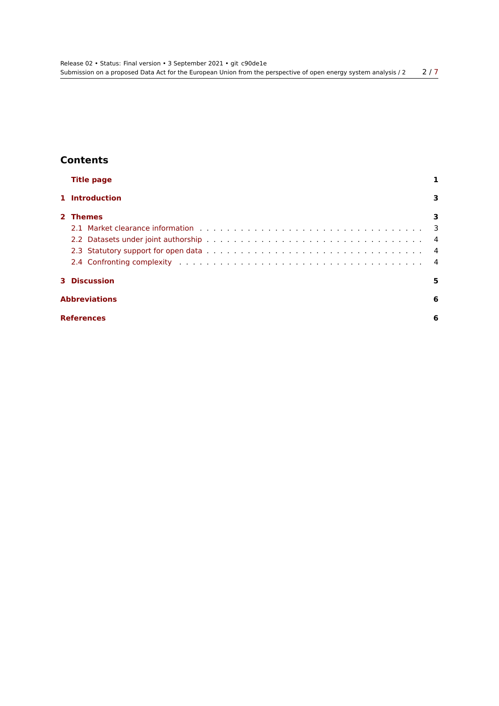## **Contents**

| <b>Title page</b>    |   |
|----------------------|---|
| 1 Introduction       | 3 |
| 2 Themes             | 3 |
|                      |   |
|                      |   |
|                      |   |
|                      |   |
| <b>3 Discussion</b>  | 5 |
| <b>Abbreviations</b> | 6 |
| <b>References</b>    | 6 |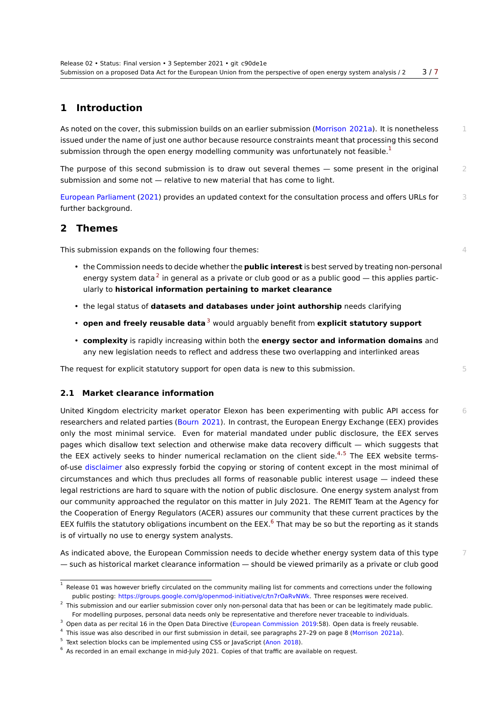### **1 Introduction**

<span id="page-2-0"></span>As noted on the cover, this submission builds on an earlier submission (Morrison 2021a). It is nonetheless 1 issued under the name of just one author because resource constraints meant that processing this second submission through the open energy modelling community was unfortunately not feasible. $<sup>1</sup>$ </sup>

The purpose of this second submission is to draw out several themes  $-$  some present in the original  $2$ submission and some not — relative to new material that has come to light.

European Parliament (2021) provides an updated context for the consultation process and offers URLs for 3 further background.

#### **2 Themes**

<span id="page-2-1"></span>This submission expands on the following four themes:  $4\frac{4}{3}$ 

- the Commission needs to decide whether the **public interest** is best served by treating non‑personal energy system data  $^2$  in general as a private or club good or as a public good — this applies particularly to **historical information pertaining to market clearance**
- the legal status of **datasets and databases under joint authorship** needs clarifying
- **open and freely reusable data**<sup>3</sup> would arguably benefit from **explicit statutory support**
- **complexity** is rapidly increasing within both the **energy sector and information domains** and any new legislation needs to reflect and address these two overlapping and interlinked areas

The reques[t](#page-2-3) for explicit statutory support for open data is new to this submission.  $5 \frac{1}{2}$ 

#### **2.1 Market clearance information**

<span id="page-2-2"></span>United Kingdom electricity market operator Elexon has been experimenting with public API access for 6 researchers and related parties (Bourn 2021). In contrast, the European Energy Exchange (EEX) provides only the most minimal service. Even for material mandated under public disclosure, the EEX serves pages which disallow text selection and otherwise make data recovery difficult — which suggests that the EEX actively seeks to hinder numerical reclamation on the client side.<sup>4,5</sup> The EEX website termsof-use disclaimer also expressly [forbid the c](#page-5-1)opying or storing of content except in the most minimal of circumstances and which thus precludes all forms of reasonable public interest usage — indeed these legal restrictions are hard to square with the notion of public disclosure. One [e](#page-2-4)[n](#page-2-5)ergy system analyst from our community approached the regulator on this matter in July 2021. The REMIT Team at the Agency for the Co[operation o](https://www.eex-transparency.com/disclaimer)f Energy Regulators (ACER) assures our community that these current practices by the EEX fulfils the statutory obligations incumbent on the EEX.<sup>6</sup> That may be so but the reporting as it stands is of virtually no use to energy system analysts.

As indicated above, the European Commission needs to decide whether energy system data of this type  $7$ — such as historical market clearance information — shoul[d](#page-2-6) be viewed primarily as a private or club good

<sup>1</sup> Release 01 was however briefly circulated on the community mailing list for comments and corrections under the following public posting: https://groups.google.com/g/openmod-initiative/c/tn7rOaRvNWk. Three responses were received.

 $^2$  This submission and our earlier submission cover only non-personal data that has been or can be legitimately made public. For modelling purposes, personal data needs only be representative and therefore never traceable to individuals.

 $3$  Open data as per recital 16 in the Open Data Directive (European Commission 2019:58). Open data is freely reusable.

<sup>4</sup> This issue was al[so described in our first submission in detail, see paragraphs 27–2](https://groups.google.com/g/openmod-initiative/c/tn7rOaRvNWk)9 on page 8 (Morrison 2021a).

<sup>&</sup>lt;sup>5</sup> Text selection blocks can be implemented using CSS or JavaScript (Anon 2018).

<span id="page-2-6"></span><span id="page-2-5"></span><span id="page-2-4"></span><span id="page-2-3"></span> $^6$  As recorded in an email exchange in mid-July 2021. Copies of that traffic are available on request.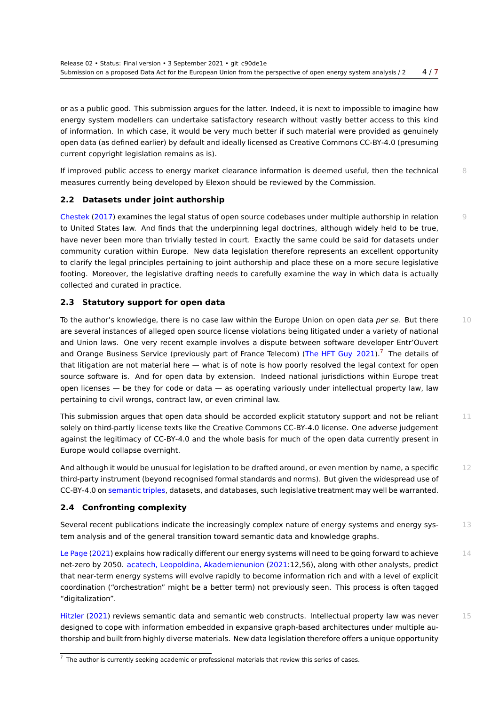or as a public good. This submission argues for the latter. Indeed, it is next to impossible to imagine ho[w](#page-6-1) energy system modellers can undertake satisfactory research without vastly better access to this kind of information. In which case, it would be very much better if such material were provided as genuinely open data (as defined earlier) by default and ideally licensed as Creative Commons CC‑BY‑4.0 (presuming current copyright legislation remains as is).

If improved public access to energy market clearance information is deemed useful, then the technical 8 measures currently being developed by Elexon should be reviewed by the Commission.

#### **2.2 Datasets under joint authorship**

<span id="page-3-0"></span>Chestek (2017) examines the legal status of open source codebases under multiple authorship in relation 9 to United States law. And finds that the underpinning legal doctrines, although widely held to be true, have never been more than trivially tested in court. Exactly the same could be said for datasets under community curation within Europe. New data legislation therefore represents an excellent opportunity [to clarify the le](#page-5-2)gal principles pertaining to joint authorship and place these on a more secure legislative footing. Moreover, the legislative drafting needs to carefully examine the way in which data is actually collected and curated in practice.

#### **2.3 Statutory support for open data**

<span id="page-3-1"></span>To the author's knowledge, there is no case law within the Europe Union on open data *per se*. But there 10 are several instances of alleged open source license violations being litigated under a variety of national and Union laws. One very recent example involves a dispute between software developer Entr'Ouvert and Orange Business Service (previously part of France Telecom) (The HFT Guy 2021).<sup>7</sup> The details of that litigation are not material here — what is of note is how poorly resolved the legal context for open source software is. And for open data by extension. Indeed national jurisdictions within Europe treat open licenses — be they for code or data — as operating variousl[y under intellectual](#page-6-2) [pro](#page-3-3)perty law, law pertaining to civil wrongs, contract law, or even criminal law.

This submission argues that open data should be accorded explicit statutory support and not be reliant  $11$ solely on third-partly license texts like the Creative Commons CC-BY-4.0 license. One adverse judgement against the legitimacy of CC‑BY‑4.0 and the whole basis for much of the open data currently present in Europe would collapse overnight.

And although it would be unusual for legislation to be drafted around, or even mention by name, a specific  $12$ third-party instrument (beyond recognised formal standards and norms). But given the widespread use of CC‑BY‑4.0 on semantic triples, datasets, and databases, such legislative treatment may well be warranted.

#### **2.4 Confronting complexity**

Several recent publications indicate the increasingly complex nature of energy systems and energy sys-<br>
13 tem analysis [and of the gene](https://en.wikipedia.org/wiki/Semantic_triple)ral transition toward semantic data and knowledge graphs.

<span id="page-3-2"></span>Le Page (2021) explains how radically different our energy systems will need to be going forward to achieve  $14$ net-zero by 2050. acatech, Leopoldina, Akademienunion (2021:12,56), along with other analysts, predict that near‑term energy systems will evolve rapidly to become information rich and with a level of explicit coordination ("orchestration" might be a better term) not previously seen. This process is often tagged ["digitalization"](#page-6-3).

Hitzler (2021) reviews semantic data and semantic web constructs. Intellectual property law was never 15 designed to cope with information embedded in expansive graph-based architectures under multiple authorship and built from highly diverse materials. New data legislation therefore offers a unique opportunity

<span id="page-3-3"></span> $^7$  [The au](#page-6-4)t[hor is c](#page-6-4)urrently seeking academic or professional materials that review this series of cases.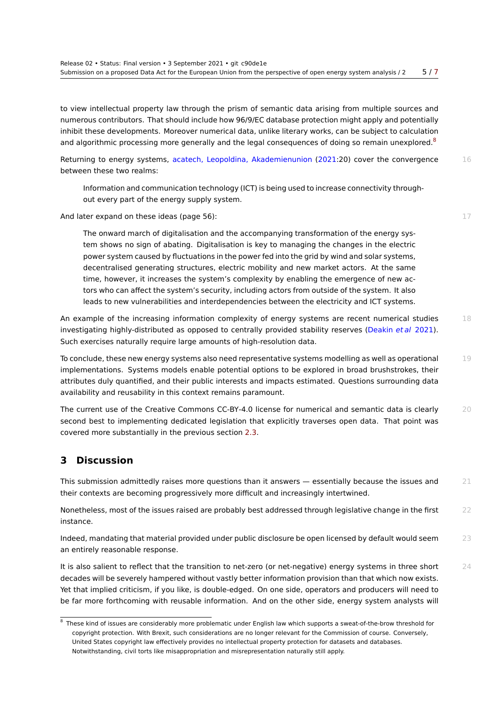to view intellectual property law through the prism of semantic data arising from multiple sources an[d](#page-6-1) numerous contributors. That should include how 96/9/EC database protection might apply and potentially inhibit these developments. Moreover numerical data, unlike literary works, can be subject to calculation and algorithmic processing more generally and the legal consequences of doing so remain unexplored. $8$ 

Returning to energy systems, acatech, Leopoldina, Akademienunion (2021:20) cover the convergence 16 between these two realms:

Information and communication technology (ICT) is being used to increase connectivity throughout every part of the en[ergy supply system.](#page-5-3)

And later expand on these ideas (page 56): 17 and 17 and 17 and 17 and 17 and 17 and 17 and 17 and 17 and 17 and 17 and 17 and 17 and 17 and 17 and 17 and 17 and 17 and 17 and 17 and 17 and 17 and 17 and 17 and 17 and 17 a

The onward march of digitalisation and the accompanying transformation of the energy system shows no sign of abating. Digitalisation is key to managing the changes in the electric power system caused by fluctuations in the power fed into the grid by wind and solar systems, decentralised generating structures, electric mobility and new market actors. At the same time, however, it increases the system's complexity by enabling the emergence of new actors who can affect the system's security, including actors from outside of the system. It also leads to new vulnerabilities and interdependencies between the electricity and ICT systems.

An example of the increasing information complexity of energy systems are recent numerical studies 18 investigating highly-distributed as opposed to centrally provided stability reserves (Deakin *et al* 2021). Such exercises naturally require large amounts of high-resolution data.

To conclude, these new energy systems also need representative systems modelling as well as operational 19 implementations. Systems models enable potential options to be explored in broad [brushstrokes, the](#page-5-4)ir attributes duly quantified, and their public interests and impacts estimated. Questions surrounding data availability and reusability in this context remains paramount.

The current use of the Creative Commons CC-BY-4.0 license for numerical and semantic data is clearly 20 second best to implementing dedicated legislation that explicitly traverses open data. That point was covered more substantially in the previous section 2.3.

## **3 Discussion**

<span id="page-4-0"></span>This submission admittedly raises more questions than it answers  $-$  essentially because the issues and  $21$ their contexts are becoming progressively more difficult and increasingly intertwined.

Nonetheless, most of the issues raised are probably best addressed through legislative change in the first 22 instance.

Indeed, mandating that material provided under public disclosure be open licensed by default would seem  $23$ an entirely reasonable response.

It is also salient to reflect that the transition to net-zero (or net-negative) energy systems in three short 24 decades will be severely hampered without vastly better information provision than that which now exists. Yet that implied criticism, if you like, is double-edged. On one side, operators and producers will need to be far more forthcoming with reusable information. And on the other side, energy system analysts will

 $^8$  These kind of issues are considerably more problematic under English law which supports a sweat-of-the-brow threshold for copyright protection. With Brexit, such considerations are no longer relevant for the Commission of course. Conversely, United States copyright law effectively provides no intellectual property protection for datasets and databases. Notwithstanding, civil torts like misappropriation and misrepresentation naturally still apply.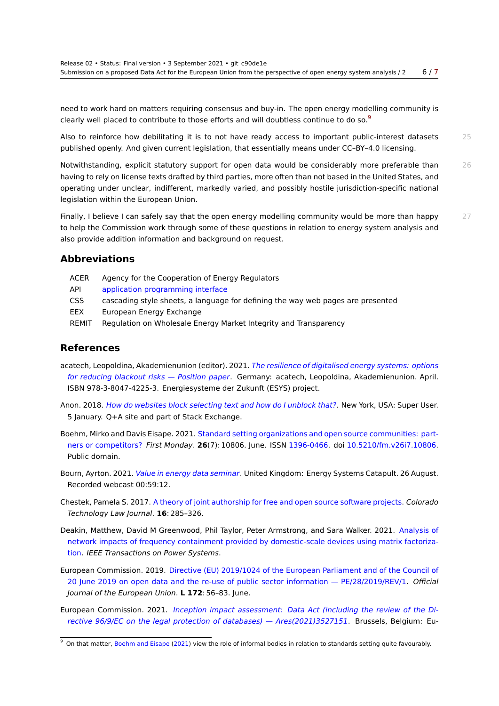need to work hard on matters requiring consensus and buy‑in. The open energy modelling community [is](#page-6-1) clearly well placed to contribute to those efforts and will doubtless continue to do so.<sup>9</sup>

Also to reinforce how debilitating it is to not have ready access to important public-interest datasets 25 published openly. And given current legislation, that essentially means under CC–BY–4.0 licensing.

N[o](#page-5-5)twithstanding, explicit statutory support for open data would be considerably more preferable than 26 having to rely on license texts drafted by third parties, more often than not based in the United States, and operating under unclear, indifferent, markedly varied, and possibly hostile jurisdiction-specific national legislation within the European Union.

Finally, I believe I can safely say that the open energy modelling community would be more than happy 27 to help the Commission work through some of these questions in relation to energy system analysis and also provide addition information and background on request.

#### **Abbreviations**

- ACER Agency for the Cooperation of Energy Regulators
- API application programming interface
- CSS cascading style sheets, a language for defining the way web pages are presented
- EEX European Energy Exchange
- REMIT [Regulation on Wholesale Energy Ma](https://en.wikipedia.org/wiki/Application_programming_interface)rket Integrity and Transparency

#### **References**

- acatech, Leopoldina, Akademienunion (editor). 2021. *The resilience of digitalised energy systems: options for reducing blackout risks — Position paper*. Germany: acatech, Leopoldina, Akademienunion. April. ISBN 978-3-8047-4225-3. Energiesysteme der Zukunft (ESYS) project.
- <span id="page-5-3"></span>Anon. 2018. *How do websites block selecting text and how do I unblock that?*[. New York, USA: Super User.](https://en.acatech.de/publication/rde/download-pdf?lang=en) [5 January. Q+A site and part of Stack Exchan](https://en.acatech.de/publication/rde/download-pdf?lang=en)ge.
- Boehm, Mirko and Davis Eisape. 2021. Standard setting organizations and open source communities: partners or competitors? *First Monday*. **26**[\(7\): 10806. June. ISSN](https://superuser.com/questions/1282718/how-do-websites-block-selecting-text-and-how-do-i-unblock-that) 1396-0466. doi 10.5210/fm.v26i7.10806. Public domain.
- Bourn, Ayrton. 2021. *Value in energy data seminar*[. United Kingdom: Energy Systems Catapult. 26 August.](https://firstmonday.org/ojs/index.php/fm/article/view/10806/10183) [Recorded webcast 00](https://firstmonday.org/ojs/index.php/fm/article/view/10806/10183):59:12.
- <span id="page-5-1"></span>Chestek, Pamela S. 2017. A theory of joint authorship for free and open source software projects. *Colorado Technology Law Journal*. **16**[: 285–326.](https://www.youtube.com/watch?v=jQfmQyDRo4E)
- <span id="page-5-2"></span>Deakin, Matthew, David M Greenwood, Phil Taylor, Peter Armstrong, and Sara Walker. 2021. Analysis of network impacts of fre[quency containment provided by domestic-scale devices using matrix](https://ctlj.colorado.edu/wp-content/uploads/2018/09/3-Chestek-6.20.18-FINAL.pdf) factorization. *IEEE Transactions on Power Systems*.
- <span id="page-5-4"></span>European Commission. 2019. Directive (EU) 2019/1024 of the European Parliament and of th[e Council of](https://eprints.ncl.ac.uk/file_store/production/275164/D91DADB0-43B5-4CB8-9AA3-812A2B6FBDFD.pdf) [20 June 2019 on open data and the re-use of public sector information — PE/28/2019/REV/1.](https://eprints.ncl.ac.uk/file_store/production/275164/D91DADB0-43B5-4CB8-9AA3-812A2B6FBDFD.pdf) *Official [Jour](https://eprints.ncl.ac.uk/file_store/production/275164/D91DADB0-43B5-4CB8-9AA3-812A2B6FBDFD.pdf)nal of the European Union*. **L 172**: 56–83. June.
- European Commission. 2021. *[Inception impact assessment: Data Act \(including the review of the Di](https://eur-lex.europa.eu/legal-content/EN/TXT/PDF/?uri=CELEX:32019L1024&from=EN)[rective 96/9/EC on the legal protection of databases\) — Ares\(2021\)3527151](https://eur-lex.europa.eu/legal-content/EN/TXT/PDF/?uri=CELEX:32019L1024&from=EN)*. Brussels, Belgium: Eu-

<span id="page-5-5"></span><span id="page-5-0"></span> $9$  On that matter, Boehm and Eisape (2021) view the role of informal bodies in relation to standards setting quite favourably.